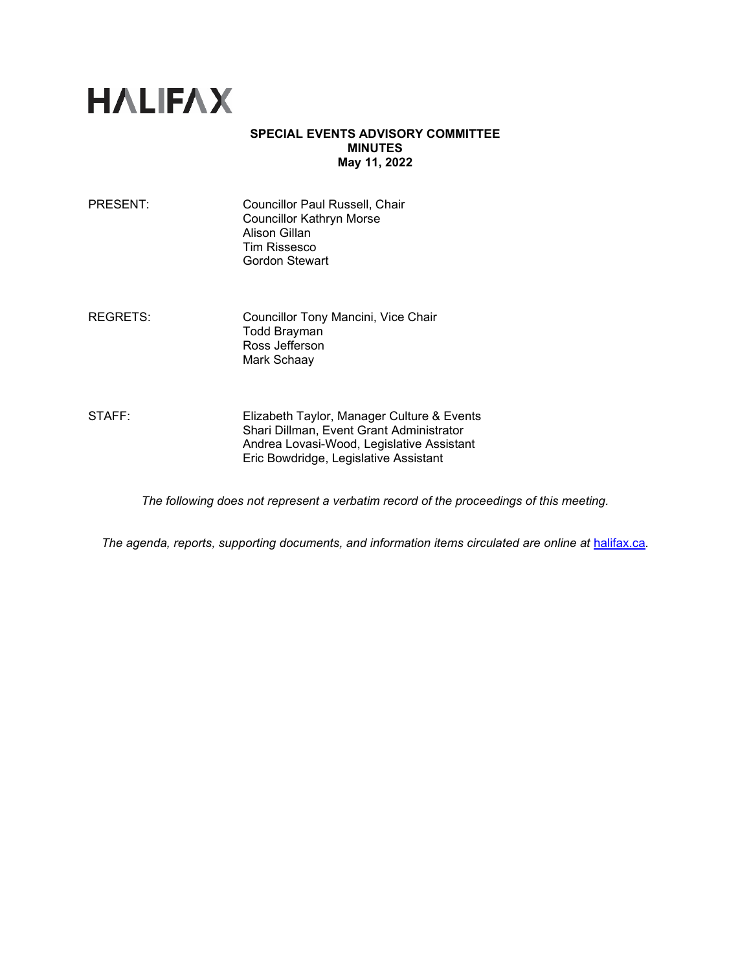

## **SPECIAL EVENTS ADVISORY COMMITTEE MINUTES May 11, 2022**

| PRESENT: | Councillor Paul Russell, Chair<br><b>Councillor Kathryn Morse</b><br>Alison Gillan<br><b>Tim Rissesco</b> |
|----------|-----------------------------------------------------------------------------------------------------------|
|          | Gordon Stewart                                                                                            |

REGRETS: Councillor Tony Mancini, Vice Chair Todd Brayman Ross Jefferson Mark Schaay

STAFF: Elizabeth Taylor, Manager Culture & Events Shari Dillman, Event Grant Administrator Andrea Lovasi-Wood, Legislative Assistant Eric Bowdridge, Legislative Assistant

*The following does not represent a verbatim record of the proceedings of this meeting.*

*The agenda, reports, supporting documents, and information items circulated are online at [halifax.ca](http://www.halifax.ca/).*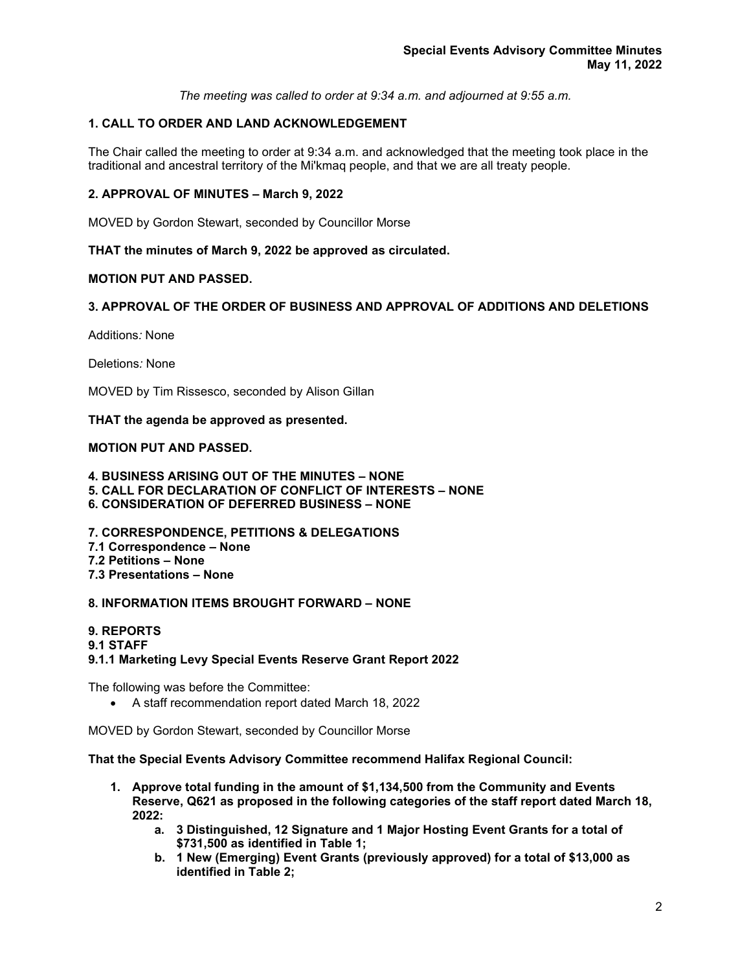*The meeting was called to order at 9:34 a.m. and adjourned at 9:55 a.m.*

# **1. CALL TO ORDER AND LAND ACKNOWLEDGEMENT**

The Chair called the meeting to order at 9:34 a.m. and acknowledged that the meeting took place in the traditional and ancestral territory of the Mi'kmaq people, and that we are all treaty people.

## **2. APPROVAL OF MINUTES – March 9, 2022**

MOVED by Gordon Stewart, seconded by Councillor Morse

**THAT the minutes of March 9, 2022 be approved as circulated.** 

## **MOTION PUT AND PASSED.**

## **3. APPROVAL OF THE ORDER OF BUSINESS AND APPROVAL OF ADDITIONS AND DELETIONS**

Additions*:* None

Deletions*:* None

MOVED by Tim Rissesco, seconded by Alison Gillan

**THAT the agenda be approved as presented.** 

## **MOTION PUT AND PASSED.**

**4. BUSINESS ARISING OUT OF THE MINUTES – NONE** 

**5. CALL FOR DECLARATION OF CONFLICT OF INTERESTS – NONE** 

**6. CONSIDERATION OF DEFERRED BUSINESS – NONE**

**7. CORRESPONDENCE, PETITIONS & DELEGATIONS 7.1 Correspondence – None 7.2 Petitions – None 7.3 Presentations – None** 

## **8. INFORMATION ITEMS BROUGHT FORWARD – NONE**

**9. REPORTS 9.1 STAFF 9.1.1 Marketing Levy Special Events Reserve Grant Report 2022**

The following was before the Committee:

• A staff recommendation report dated March 18, 2022

MOVED by Gordon Stewart, seconded by Councillor Morse

**That the Special Events Advisory Committee recommend Halifax Regional Council:**

- **1. Approve total funding in the amount of \$1,134,500 from the Community and Events Reserve, Q621 as proposed in the following categories of the staff report dated March 18, 2022:** 
	- **a. 3 Distinguished, 12 Signature and 1 Major Hosting Event Grants for a total of \$731,500 as identified in Table 1;**
	- **b. 1 New (Emerging) Event Grants (previously approved) for a total of \$13,000 as identified in Table 2;**